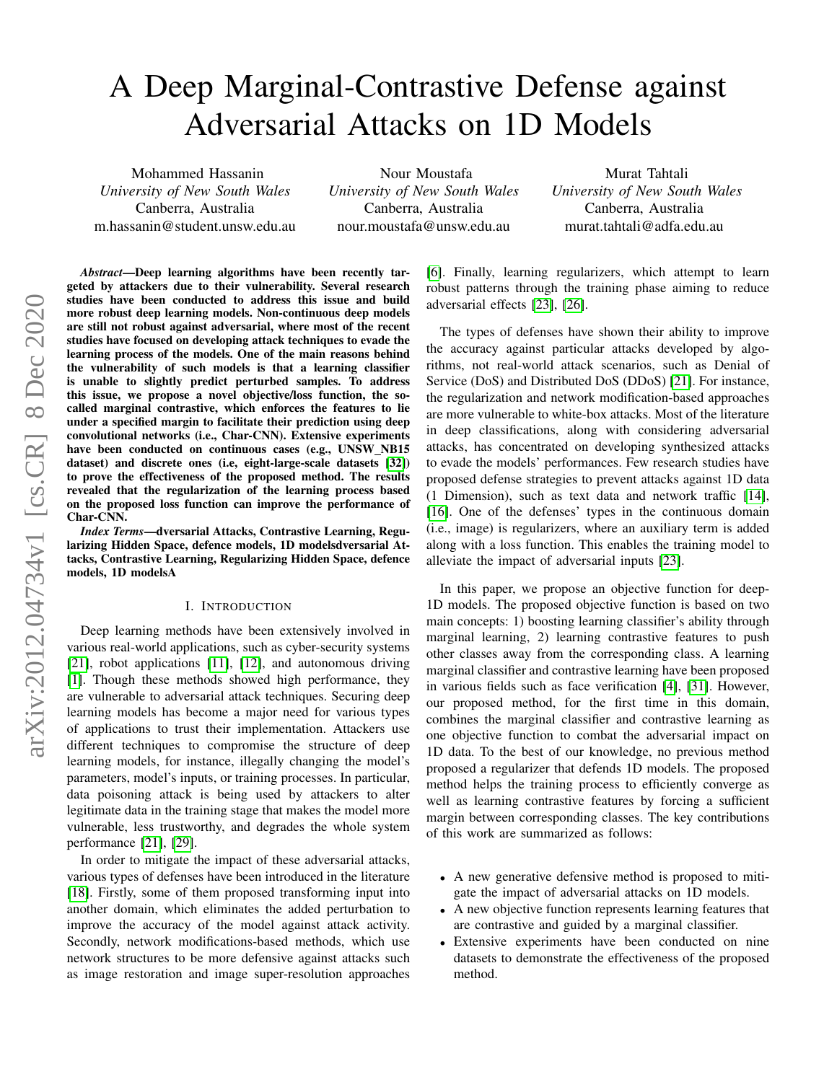# A Deep Marginal-Contrastive Defense against Adversarial Attacks on 1D Models

Mohammed Hassanin *University of New South Wales* Canberra, Australia m.hassanin@student.unsw.edu.au

Nour Moustafa *University of New South Wales* Canberra, Australia nour.moustafa@unsw.edu.au

Murat Tahtali *University of New South Wales* Canberra, Australia murat.tahtali@adfa.edu.au

*Abstract*—Deep learning algorithms have been recently targeted by attackers due to their vulnerability. Several research studies have been conducted to address this issue and build more robust deep learning models. Non-continuous deep models are still not robust against adversarial, where most of the recent studies have focused on developing attack techniques to evade the learning process of the models. One of the main reasons behind the vulnerability of such models is that a learning classifier is unable to slightly predict perturbed samples. To address this issue, we propose a novel objective/loss function, the socalled marginal contrastive, which enforces the features to lie under a specified margin to facilitate their prediction using deep convolutional networks (i.e., Char-CNN). Extensive experiments have been conducted on continuous cases (e.g., UNSW\_NB15 dataset) and discrete ones (i.e, eight-large-scale datasets [\[32\]](#page-6-0)) to prove the effectiveness of the proposed method. The results revealed that the regularization of the learning process based on the proposed loss function can improve the performance of Char-CNN.

*Index Terms*—dversarial Attacks, Contrastive Learning, Regularizing Hidden Space, defence models, 1D modelsdversarial Attacks, Contrastive Learning, Regularizing Hidden Space, defence models, 1D modelsA

#### I. INTRODUCTION

Deep learning methods have been extensively involved in various real-world applications, such as cyber-security systems [\[21\]](#page-5-0), robot applications [\[11\]](#page-5-1), [\[12\]](#page-5-2), and autonomous driving [\[1\]](#page-5-3). Though these methods showed high performance, they are vulnerable to adversarial attack techniques. Securing deep learning models has become a major need for various types of applications to trust their implementation. Attackers use different techniques to compromise the structure of deep learning models, for instance, illegally changing the model's parameters, model's inputs, or training processes. In particular, data poisoning attack is being used by attackers to alter legitimate data in the training stage that makes the model more vulnerable, less trustworthy, and degrades the whole system performance [\[21\]](#page-5-0), [\[29\]](#page-6-1).

In order to mitigate the impact of these adversarial attacks, various types of defenses have been introduced in the literature [\[18\]](#page-5-4). Firstly, some of them proposed transforming input into another domain, which eliminates the added perturbation to improve the accuracy of the model against attack activity. Secondly, network modifications-based methods, which use network structures to be more defensive against attacks such as image restoration and image super-resolution approaches [\[6\]](#page-5-5). Finally, learning regularizers, which attempt to learn robust patterns through the training phase aiming to reduce adversarial effects [\[23\]](#page-5-6), [\[26\]](#page-5-7).

The types of defenses have shown their ability to improve the accuracy against particular attacks developed by algorithms, not real-world attack scenarios, such as Denial of Service (DoS) and Distributed DoS (DDoS) [\[21\]](#page-5-0). For instance, the regularization and network modification-based approaches are more vulnerable to white-box attacks. Most of the literature in deep classifications, along with considering adversarial attacks, has concentrated on developing synthesized attacks to evade the models' performances. Few research studies have proposed defense strategies to prevent attacks against 1D data (1 Dimension), such as text data and network traffic [\[14\]](#page-5-8), [\[16\]](#page-5-9). One of the defenses' types in the continuous domain (i.e., image) is regularizers, where an auxiliary term is added along with a loss function. This enables the training model to alleviate the impact of adversarial inputs [\[23\]](#page-5-6).

In this paper, we propose an objective function for deep-1D models. The proposed objective function is based on two main concepts: 1) boosting learning classifier's ability through marginal learning, 2) learning contrastive features to push other classes away from the corresponding class. A learning marginal classifier and contrastive learning have been proposed in various fields such as face verification [\[4\]](#page-5-10), [\[31\]](#page-6-2). However, our proposed method, for the first time in this domain, combines the marginal classifier and contrastive learning as one objective function to combat the adversarial impact on 1D data. To the best of our knowledge, no previous method proposed a regularizer that defends 1D models. The proposed method helps the training process to efficiently converge as well as learning contrastive features by forcing a sufficient margin between corresponding classes. The key contributions of this work are summarized as follows:

- A new generative defensive method is proposed to mitigate the impact of adversarial attacks on 1D models.
- A new objective function represents learning features that are contrastive and guided by a marginal classifier.
- Extensive experiments have been conducted on nine datasets to demonstrate the effectiveness of the proposed method.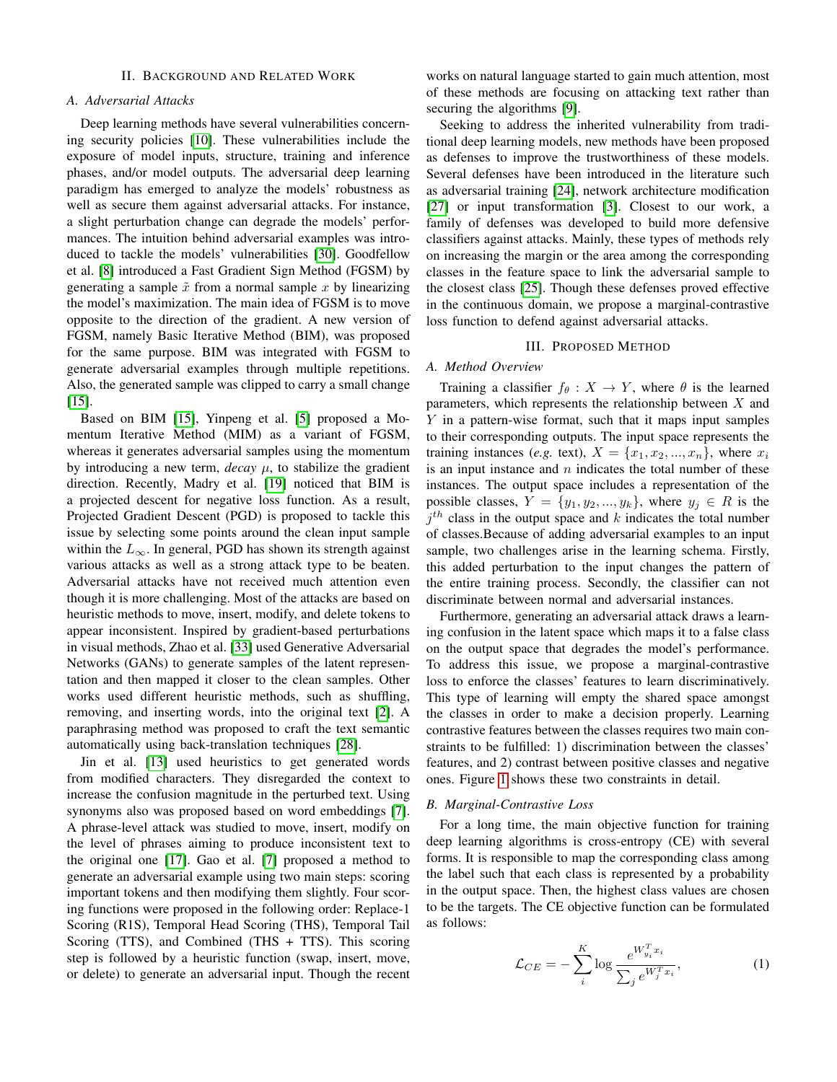### II. BACKGROUND AND RELATED WORK

## *A. Adversarial Attacks*

Deep learning methods have several vulnerabilities concerning security policies [\[10\]](#page-5-11). These vulnerabilities include the exposure of model inputs, structure, training and inference phases, and/or model outputs. The adversarial deep learning paradigm has emerged to analyze the models' robustness as well as secure them against adversarial attacks. For instance, a slight perturbation change can degrade the models' performances. The intuition behind adversarial examples was introduced to tackle the models' vulnerabilities [\[30\]](#page-6-3). Goodfellow et al. [\[8\]](#page-5-12) introduced a Fast Gradient Sign Method (FGSM) by generating a sample  $\tilde{x}$  from a normal sample x by linearizing the model's maximization. The main idea of FGSM is to move opposite to the direction of the gradient. A new version of FGSM, namely Basic Iterative Method (BIM), was proposed for the same purpose. BIM was integrated with FGSM to generate adversarial examples through multiple repetitions. Also, the generated sample was clipped to carry a small change [\[15\]](#page-5-13).

Based on BIM [\[15\]](#page-5-13), Yinpeng et al. [\[5\]](#page-5-14) proposed a Momentum Iterative Method (MIM) as a variant of FGSM, whereas it generates adversarial samples using the momentum by introducing a new term,  $decay \mu$ , to stabilize the gradient direction. Recently, Madry et al. [\[19\]](#page-5-15) noticed that BIM is a projected descent for negative loss function. As a result, Projected Gradient Descent (PGD) is proposed to tackle this issue by selecting some points around the clean input sample within the  $L_{\infty}$ . In general, PGD has shown its strength against various attacks as well as a strong attack type to be beaten. Adversarial attacks have not received much attention even though it is more challenging. Most of the attacks are based on heuristic methods to move, insert, modify, and delete tokens to appear inconsistent. Inspired by gradient-based perturbations in visual methods, Zhao et al. [\[33\]](#page-6-4) used Generative Adversarial Networks (GANs) to generate samples of the latent representation and then mapped it closer to the clean samples. Other works used different heuristic methods, such as shuffling, removing, and inserting words, into the original text [\[2\]](#page-5-16). A paraphrasing method was proposed to craft the text semantic automatically using back-translation techniques [\[28\]](#page-6-5).

Jin et al. [\[13\]](#page-5-17) used heuristics to get generated words from modified characters. They disregarded the context to increase the confusion magnitude in the perturbed text. Using synonyms also was proposed based on word embeddings [\[7\]](#page-5-18). A phrase-level attack was studied to move, insert, modify on the level of phrases aiming to produce inconsistent text to the original one [\[17\]](#page-5-19). Gao et al. [\[7\]](#page-5-18) proposed a method to generate an adversarial example using two main steps: scoring important tokens and then modifying them slightly. Four scoring functions were proposed in the following order: Replace-1 Scoring (R1S), Temporal Head Scoring (THS), Temporal Tail Scoring (TTS), and Combined (THS + TTS). This scoring step is followed by a heuristic function (swap, insert, move, or delete) to generate an adversarial input. Though the recent works on natural language started to gain much attention, most of these methods are focusing on attacking text rather than securing the algorithms [\[9\]](#page-5-20).

Seeking to address the inherited vulnerability from traditional deep learning models, new methods have been proposed as defenses to improve the trustworthiness of these models. Several defenses have been introduced in the literature such as adversarial training [\[24\]](#page-5-21), network architecture modification [\[27\]](#page-6-6) or input transformation [\[3\]](#page-5-22). Closest to our work, a family of defenses was developed to build more defensive classifiers against attacks. Mainly, these types of methods rely on increasing the margin or the area among the corresponding classes in the feature space to link the adversarial sample to the closest class [\[25\]](#page-5-23). Though these defenses proved effective in the continuous domain, we propose a marginal-contrastive loss function to defend against adversarial attacks.

## III. PROPOSED METHOD

## *A. Method Overview*

Training a classifier  $f_{\theta}: X \to Y$ , where  $\theta$  is the learned parameters, which represents the relationship between  $X$  and Y in a pattern-wise format, such that it maps input samples to their corresponding outputs. The input space represents the training instances (*e.g.* text),  $X = \{x_1, x_2, ..., x_n\}$ , where  $x_i$ is an input instance and  $n$  indicates the total number of these instances. The output space includes a representation of the possible classes,  $Y = \{y_1, y_2, ..., y_k\}$ , where  $y_j \in R$  is the  $j<sup>th</sup>$  class in the output space and k indicates the total number of classes.Because of adding adversarial examples to an input sample, two challenges arise in the learning schema. Firstly, this added perturbation to the input changes the pattern of the entire training process. Secondly, the classifier can not discriminate between normal and adversarial instances.

Furthermore, generating an adversarial attack draws a learning confusion in the latent space which maps it to a false class on the output space that degrades the model's performance. To address this issue, we propose a marginal-contrastive loss to enforce the classes' features to learn discriminatively. This type of learning will empty the shared space amongst the classes in order to make a decision properly. Learning contrastive features between the classes requires two main constraints to be fulfilled: 1) discrimination between the classes' features, and 2) contrast between positive classes and negative ones. Figure [1](#page-2-0) shows these two constraints in detail.

## *B. Marginal-Contrastive Loss*

For a long time, the main objective function for training deep learning algorithms is cross-entropy (CE) with several forms. It is responsible to map the corresponding class among the label such that each class is represented by a probability in the output space. Then, the highest class values are chosen to be the targets. The CE objective function can be formulated as follows:

$$
\mathcal{L}_{CE} = -\sum_{i}^{K} \log \frac{e^{W_{y_i}^T x_i}}{\sum_j e^{W_j^T x_i}},\tag{1}
$$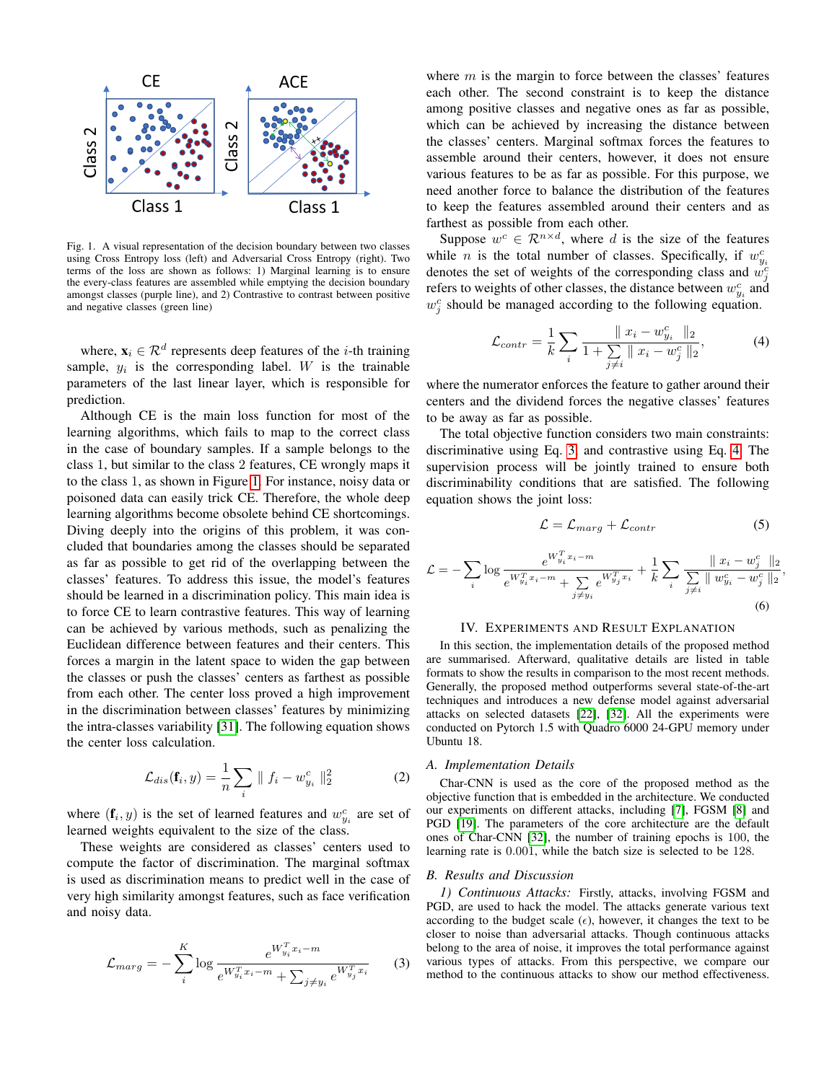

<span id="page-2-0"></span>Fig. 1. A visual representation of the decision boundary between two classes using Cross Entropy loss (left) and Adversarial Cross Entropy (right). Two terms of the loss are shown as follows: 1) Marginal learning is to ensure the every-class features are assembled while emptying the decision boundary amongst classes (purple line), and 2) Contrastive to contrast between positive and negative classes (green line)

where,  $\mathbf{x}_i \in \mathcal{R}^d$  represents deep features of the *i*-th training sample,  $y_i$  is the corresponding label. W is the trainable parameters of the last linear layer, which is responsible for prediction.

Although CE is the main loss function for most of the learning algorithms, which fails to map to the correct class in the case of boundary samples. If a sample belongs to the class 1, but similar to the class 2 features, CE wrongly maps it to the class 1, as shown in Figure [1.](#page-2-0) For instance, noisy data or poisoned data can easily trick CE. Therefore, the whole deep learning algorithms become obsolete behind CE shortcomings. Diving deeply into the origins of this problem, it was concluded that boundaries among the classes should be separated as far as possible to get rid of the overlapping between the classes' features. To address this issue, the model's features should be learned in a discrimination policy. This main idea is to force CE to learn contrastive features. This way of learning can be achieved by various methods, such as penalizing the Euclidean difference between features and their centers. This forces a margin in the latent space to widen the gap between the classes or push the classes' centers as farthest as possible from each other. The center loss proved a high improvement in the discrimination between classes' features by minimizing the intra-classes variability [\[31\]](#page-6-2). The following equation shows the center loss calculation.

$$
\mathcal{L}_{dis}(\mathbf{f}_i, y) = \frac{1}{n} \sum_i \| f_i - w_{y_i}^c \|_2^2 \tag{2}
$$

where  $(f_i, y)$  is the set of learned features and  $w_{y_i}^c$  are set of learned weights equivalent to the size of the class.

These weights are considered as classes' centers used to compute the factor of discrimination. The marginal softmax is used as discrimination means to predict well in the case of very high similarity amongst features, such as face verification and noisy data.

<span id="page-2-1"></span>
$$
\mathcal{L}_{marg} = -\sum_{i}^{K} \log \frac{e^{W_{y_i}^T x_i - m}}{e^{W_{y_i}^T x_i - m} + \sum_{j \neq y_i} e^{W_{y_j}^T x_i}}
$$
(3)

where  $m$  is the margin to force between the classes' features each other. The second constraint is to keep the distance among positive classes and negative ones as far as possible, which can be achieved by increasing the distance between the classes' centers. Marginal softmax forces the features to assemble around their centers, however, it does not ensure various features to be as far as possible. For this purpose, we need another force to balance the distribution of the features to keep the features assembled around their centers and as farthest as possible from each other.

Suppose  $w^c \in \mathcal{R}^{n \times d}$ , where d is the size of the features while *n* is the total number of classes. Specifically, if  $w_{y_i}^c$ denotes the set of weights of the corresponding class and  $w_j^c$ refers to weights of other classes, the distance between  $w_{y_i}^c$  and  $w_j^c$  should be managed according to the following equation.

<span id="page-2-2"></span>
$$
\mathcal{L}_{contr} = \frac{1}{k} \sum_{i} \frac{\|x_i - w_{y_i}^c\|_2}{1 + \sum_{j \neq i} \|x_i - w_j^c\|_2},\tag{4}
$$

where the numerator enforces the feature to gather around their centers and the dividend forces the negative classes' features to be away as far as possible.

The total objective function considers two main constraints: discriminative using Eq. [3,](#page-2-1) and contrastive using Eq. [4.](#page-2-2) The supervision process will be jointly trained to ensure both discriminability conditions that are satisfied. The following equation shows the joint loss:

$$
\mathcal{L} = \mathcal{L}_{marg} + \mathcal{L}_{contr} \tag{5}
$$

$$
\mathcal{L} = -\sum_{i} \log \frac{e^{W_{y_i}^T x_i - m}}{e^{W_{y_i}^T x_i - m} + \sum_{j \neq y_i} e^{W_{y_j}^T x_i}} + \frac{1}{k} \sum_{i} \frac{\|x_i - w_j^c\|_2}{\sum_{j \neq i} \|w_{y_i}^c - w_j^c\|_2},\tag{6}
$$

#### IV. EXPERIMENTS AND RESULT EXPLANATION

In this section, the implementation details of the proposed method are summarised. Afterward, qualitative details are listed in table formats to show the results in comparison to the most recent methods. Generally, the proposed method outperforms several state-of-the-art techniques and introduces a new defense model against adversarial attacks on selected datasets [\[22\]](#page-5-24), [\[32\]](#page-6-0). All the experiments were conducted on Pytorch 1.5 with Quadro 6000 24-GPU memory under Ubuntu 18.

#### *A. Implementation Details*

Char-CNN is used as the core of the proposed method as the objective function that is embedded in the architecture. We conducted our experiments on different attacks, including [\[7\]](#page-5-18), FGSM [\[8\]](#page-5-12) and PGD [\[19\]](#page-5-15). The parameters of the core architecture are the default ones of Char-CNN [\[32\]](#page-6-0), the number of training epochs is 100, the learning rate is 0.001, while the batch size is selected to be 128.

#### *B. Results and Discussion*

*1) Continuous Attacks:* Firstly, attacks, involving FGSM and PGD, are used to hack the model. The attacks generate various text according to the budget scale  $(\epsilon)$ , however, it changes the text to be closer to noise than adversarial attacks. Though continuous attacks belong to the area of noise, it improves the total performance against various types of attacks. From this perspective, we compare our method to the continuous attacks to show our method effectiveness.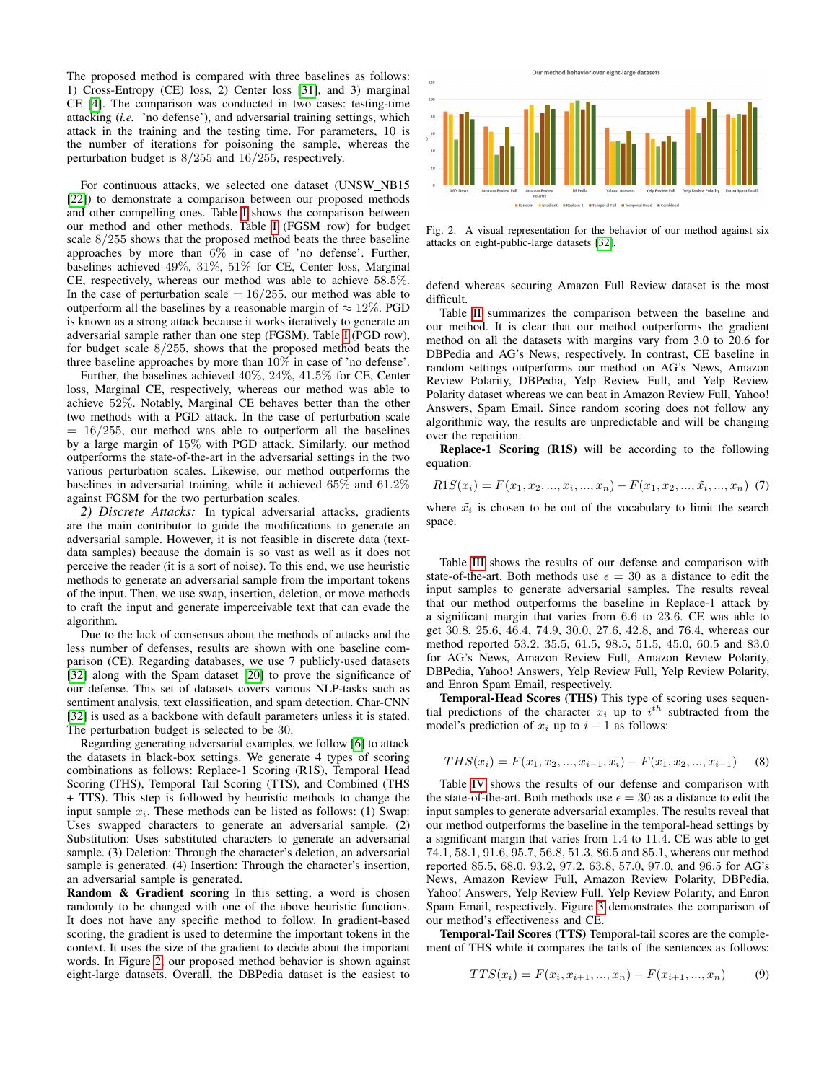The proposed method is compared with three baselines as follows: 1) Cross-Entropy (CE) loss, 2) Center loss [\[31\]](#page-6-2), and 3) marginal CE [\[4\]](#page-5-10). The comparison was conducted in two cases: testing-time attacking (*i.e.* 'no defense'), and adversarial training settings, which attack in the training and the testing time. For parameters, 10 is the number of iterations for poisoning the sample, whereas the perturbation budget is 8/255 and 16/255, respectively.

For continuous attacks, we selected one dataset (UNSW\_NB15 [\[22\]](#page-5-24)) to demonstrate a comparison between our proposed methods and other compelling ones. Table [I](#page-4-0) shows the comparison between our method and other methods. Table [I](#page-4-0) (FGSM row) for budget scale 8/255 shows that the proposed method beats the three baseline approaches by more than 6% in case of 'no defense'. Further, baselines achieved 49%, 31%, 51% for CE, Center loss, Marginal CE, respectively, whereas our method was able to achieve 58.5%. In the case of perturbation scale  $= 16/255$ , our method was able to outperform all the baselines by a reasonable margin of  $\approx 12\%$ . PGD is known as a strong attack because it works iteratively to generate an adversarial sample rather than one step (FGSM). Table [I](#page-4-0) (PGD row), for budget scale 8/255, shows that the proposed method beats the three baseline approaches by more than 10% in case of 'no defense'.

Further, the baselines achieved 40%, 24%, 41.5% for CE, Center loss, Marginal CE, respectively, whereas our method was able to achieve 52%. Notably, Marginal CE behaves better than the other two methods with a PGD attack. In the case of perturbation scale  $= 16/255$ , our method was able to outperform all the baselines by a large margin of 15% with PGD attack. Similarly, our method outperforms the state-of-the-art in the adversarial settings in the two various perturbation scales. Likewise, our method outperforms the baselines in adversarial training, while it achieved 65% and 61.2% against FGSM for the two perturbation scales.

*2) Discrete Attacks:* In typical adversarial attacks, gradients are the main contributor to guide the modifications to generate an adversarial sample. However, it is not feasible in discrete data (textdata samples) because the domain is so vast as well as it does not perceive the reader (it is a sort of noise). To this end, we use heuristic methods to generate an adversarial sample from the important tokens of the input. Then, we use swap, insertion, deletion, or move methods to craft the input and generate imperceivable text that can evade the algorithm.

Due to the lack of consensus about the methods of attacks and the less number of defenses, results are shown with one baseline comparison (CE). Regarding databases, we use 7 publicly-used datasets [\[32\]](#page-6-0) along with the Spam dataset [\[20\]](#page-5-25) to prove the significance of our defense. This set of datasets covers various NLP-tasks such as sentiment analysis, text classification, and spam detection. Char-CNN [\[32\]](#page-6-0) is used as a backbone with default parameters unless it is stated. The perturbation budget is selected to be 30.

Regarding generating adversarial examples, we follow [\[6\]](#page-5-5) to attack the datasets in black-box settings. We generate 4 types of scoring combinations as follows: Replace-1 Scoring (R1S), Temporal Head Scoring (THS), Temporal Tail Scoring (TTS), and Combined (THS + TTS). This step is followed by heuristic methods to change the input sample  $x_i$ . These methods can be listed as follows: (1) Swap: Uses swapped characters to generate an adversarial sample. (2) Substitution: Uses substituted characters to generate an adversarial sample. (3) Deletion: Through the character's deletion, an adversarial sample is generated. (4) Insertion: Through the character's insertion, an adversarial sample is generated.

Random & Gradient scoring In this setting, a word is chosen randomly to be changed with one of the above heuristic functions. It does not have any specific method to follow. In gradient-based scoring, the gradient is used to determine the important tokens in the context. It uses the size of the gradient to decide about the important words. In Figure [2,](#page-3-0) our proposed method behavior is shown against eight-large datasets. Overall, the DBPedia dataset is the easiest to



<span id="page-3-0"></span>Fig. 2. A visual representation for the behavior of our method against six attacks on eight-public-large datasets [\[32\]](#page-6-0).

defend whereas securing Amazon Full Review dataset is the most difficult.

Table [II](#page-4-1) summarizes the comparison between the baseline and our method. It is clear that our method outperforms the gradient method on all the datasets with margins vary from 3.0 to 20.6 for DBPedia and AG's News, respectively. In contrast, CE baseline in random settings outperforms our method on AG's News, Amazon Review Polarity, DBPedia, Yelp Review Full, and Yelp Review Polarity dataset whereas we can beat in Amazon Review Full, Yahoo! Answers, Spam Email. Since random scoring does not follow any algorithmic way, the results are unpredictable and will be changing over the repetition.

Replace-1 Scoring (R1S) will be according to the following equation:

$$
R1S(x_i) = F(x_1, x_2, ..., x_i, ..., x_n) - F(x_1, x_2, ..., \tilde{x}_i, ..., x_n)
$$
 (7)

where  $\tilde{x_i}$  is chosen to be out of the vocabulary to limit the search space.

Table [III](#page-4-2) shows the results of our defense and comparison with state-of-the-art. Both methods use  $\epsilon = 30$  as a distance to edit the input samples to generate adversarial samples. The results reveal that our method outperforms the baseline in Replace-1 attack by a significant margin that varies from 6.6 to 23.6. CE was able to get 30.8, 25.6, 46.4, 74.9, 30.0, 27.6, 42.8, and 76.4, whereas our method reported 53.2, 35.5, 61.5, 98.5, 51.5, 45.0, 60.5 and 83.0 for AG's News, Amazon Review Full, Amazon Review Polarity, DBPedia, Yahoo! Answers, Yelp Review Full, Yelp Review Polarity, and Enron Spam Email, respectively.

Temporal-Head Scores (THS) This type of scoring uses sequential predictions of the character  $x_i$  up to  $i^{th}$  subtracted from the model's prediction of  $x_i$  up to  $i - 1$  as follows:

$$
THS(x_i) = F(x_1, x_2, ..., x_{i-1}, x_i) - F(x_1, x_2, ..., x_{i-1})
$$
 (8)

Table [IV](#page-4-3) shows the results of our defense and comparison with the state-of-the-art. Both methods use  $\epsilon = 30$  as a distance to edit the input samples to generate adversarial examples. The results reveal that our method outperforms the baseline in the temporal-head settings by a significant margin that varies from 1.4 to 11.4. CE was able to get 74.1, 58.1, 91.6, 95.7, 56.8, 51.3, 86.5 and 85.1, whereas our method reported 85.5, 68.0, 93.2, 97.2, 63.8, 57.0, 97.0, and 96.5 for AG's News, Amazon Review Full, Amazon Review Polarity, DBPedia, Yahoo! Answers, Yelp Review Full, Yelp Review Polarity, and Enron Spam Email, respectively. Figure [3](#page-4-4) demonstrates the comparison of our method's effectiveness and CE.

Temporal-Tail Scores (TTS) Temporal-tail scores are the complement of THS while it compares the tails of the sentences as follows:

$$
TTS(x_i) = F(x_i, x_{i+1}, ..., x_n) - F(x_{i+1}, ..., x_n)
$$
 (9)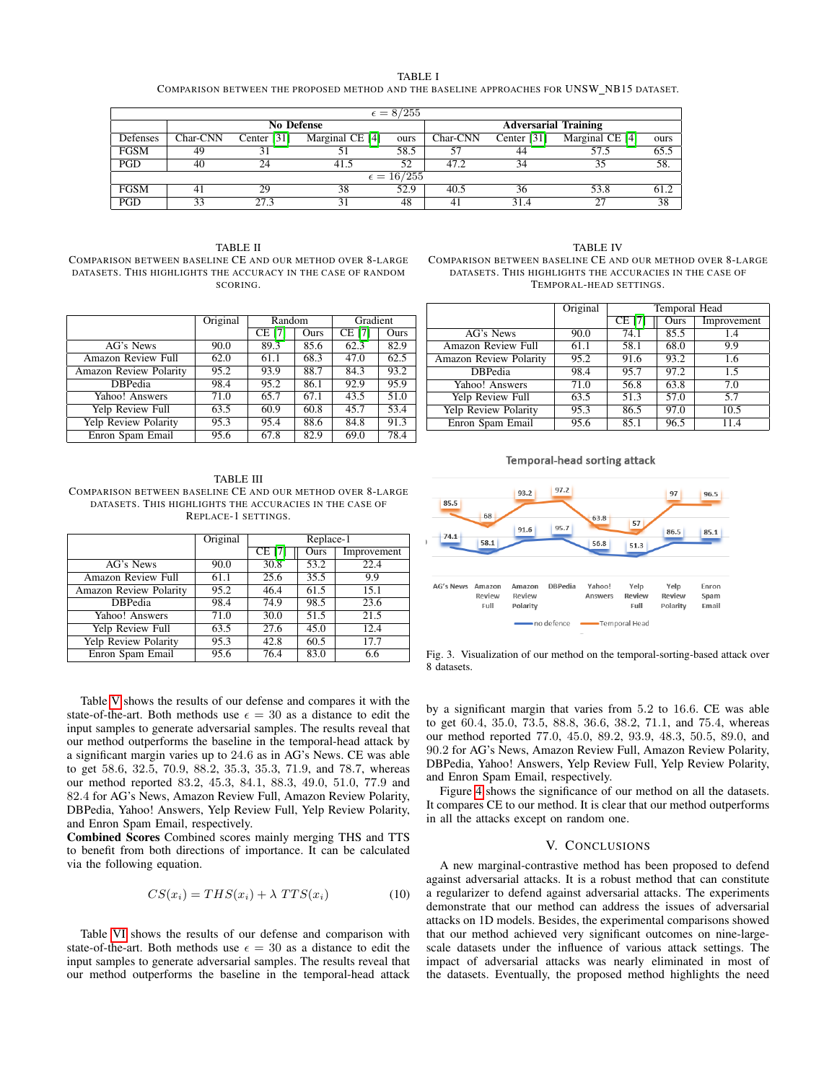| × |  |
|---|--|
|---|--|

COMPARISON BETWEEN THE PROPOSED METHOD AND THE BASELINE APPROACHES FOR UNSW\_NB15 DATASET.

<span id="page-4-0"></span>

|                     | $\epsilon = 8/255$ |             |                             |      |          |               |                 |      |
|---------------------|--------------------|-------------|-----------------------------|------|----------|---------------|-----------------|------|
| <b>No Defense</b>   |                    |             | <b>Adversarial Training</b> |      |          |               |                 |      |
| Defenses            | Char-CNN           | Center [31] | Marginal CE [4]             | ours | Char-CNN | Center $[31]$ | Marginal CE [4] | ours |
| <b>FGSM</b>         | 49                 | 31          |                             | 58.5 | 57       | 44            | 57.5            | 65.5 |
| PGD                 | 40                 | 24          | 41.5                        | 52   | 47.2     | 34            | 35              | 58.  |
| $\epsilon = 16/255$ |                    |             |                             |      |          |               |                 |      |
| <b>FGSM</b>         |                    | 29          | 38                          | 52.9 | 40.5     | 36            | 53.8            | 61.2 |
| PGD                 | 33                 | 27.3        |                             | 48   | 41       | 31.4          | 27              | 38   |

<span id="page-4-1"></span>TABLE II COMPARISON BETWEEN BASELINE CE AND OUR METHOD OVER 8-LARGE DATASETS. THIS HIGHLIGHTS THE ACCURACY IN THE CASE OF RANDOM SCORING.

|                             | Original | Random        |      | Gradient      |      |
|-----------------------------|----------|---------------|------|---------------|------|
|                             |          | <b>CE</b> [7] | Ours | <b>CE [7]</b> | Ours |
| AG's News                   | 90.0     | 89.3          | 85.6 | 62.3          | 82.9 |
| Amazon Review Full          | 62.0     | 61.1          | 68.3 | 47.0          | 62.5 |
| Amazon Review Polarity      | 95.2     | 93.9          | 88.7 | 84.3          | 93.2 |
| <b>DBPedia</b>              | 98.4     | 95.2          | 86.1 | 92.9          | 95.9 |
| Yahoo! Answers              | 71.0     | 65.7          | 67.1 | 43.5          | 51.0 |
| Yelp Review Full            | 63.5     | 60.9          | 60.8 | 45.7          | 53.4 |
| <b>Yelp Review Polarity</b> | 95.3     | 95.4          | 88.6 | 84.8          | 91.3 |
| Enron Spam Email            | 95.6     | 67.8          | 82.9 | 69.0          | 78.4 |

<span id="page-4-3"></span>TABLE IV COMPARISON BETWEEN BASELINE CE AND OUR METHOD OVER 8-LARGE DATASETS. THIS HIGHLIGHTS THE ACCURACIES IN THE CASE OF TEMPORAL-HEAD SETTINGS.

|                        | Original | Temporal Head |      |             |
|------------------------|----------|---------------|------|-------------|
|                        |          | <b>CE</b> [7] | Ours | Improvement |
| AG's News              | 90.0     | 74.1          | 85.5 | 1.4         |
| Amazon Review Full     | 61.1     | 58.1          | 68.0 | 9.9         |
| Amazon Review Polarity | 95.2     | 91.6          | 93.2 | 1.6         |
| <b>DBPedia</b>         | 98.4     | 95.7          | 97.2 | 1.5         |
| Yahoo! Answers         | 71.0     | 56.8          | 63.8 | 7.0         |
| Yelp Review Full       | 63.5     | 51.3          | 57.0 | 5.7         |
| Yelp Review Polarity   | 95.3     | 86.5          | 97.0 | 10.5        |
| Enron Spam Email       | 95.6     | 85.1          | 96.5 | 11.4        |

<span id="page-4-2"></span>TABLE III COMPARISON BETWEEN BASELINE CE AND OUR METHOD OVER 8-LARGE DATASETS. THIS HIGHLIGHTS THE ACCURACIES IN THE CASE OF REPLACE-1 SETTINGS.

|                               | Original | Replace-1     |             |             |
|-------------------------------|----------|---------------|-------------|-------------|
|                               |          | <b>CE [7]</b> | <b>Ours</b> | Improvement |
| AG's News                     | 90.0     | 30.8          | 53.2        | 22.4        |
| Amazon Review Full            | 61.1     | 25.6          | 35.5        | 9.9         |
| <b>Amazon Review Polarity</b> | 95.2     | 46.4          | 61.5        | 15.1        |
| <b>DBPedia</b>                | 98.4     | 74.9          | 98.5        | 23.6        |
| Yahoo! Answers                | 71.0     | 30.0          | 51.5        | 21.5        |
| Yelp Review Full              | 63.5     | 27.6          | 45.0        | 12.4        |
| Yelp Review Polarity          | 95.3     | 42.8          | 60.5        | 17.7        |
| Enron Spam Email              | 95.6     | 76.4          | 83.0        | 6.6         |

93.2 85.5 91.6 74.1 58.1



**Temporal-head sorting attack** 

53.8

56.8

51.3

97

86.5

96.5

85.1

97.2

95.7

<span id="page-4-4"></span>Fig. 3. Visualization of our method on the temporal-sorting-based attack over 8 datasets.

Table [V](#page-5-26) shows the results of our defense and compares it with the state-of-the-art. Both methods use  $\epsilon = 30$  as a distance to edit the input samples to generate adversarial samples. The results reveal that our method outperforms the baseline in the temporal-head attack by a significant margin varies up to 24.6 as in AG's News. CE was able to get 58.6, 32.5, 70.9, 88.2, 35.3, 35.3, 71.9, and 78.7, whereas our method reported 83.2, 45.3, 84.1, 88.3, 49.0, 51.0, 77.9 and 82.4 for AG's News, Amazon Review Full, Amazon Review Polarity, DBPedia, Yahoo! Answers, Yelp Review Full, Yelp Review Polarity, and Enron Spam Email, respectively.

Combined Scores Combined scores mainly merging THS and TTS to benefit from both directions of importance. It can be calculated via the following equation.

$$
CS(x_i) = THS(x_i) + \lambda TTS(x_i)
$$
\n(10)

Table [VI](#page-5-27) shows the results of our defense and comparison with state-of-the-art. Both methods use  $\epsilon = 30$  as a distance to edit the input samples to generate adversarial samples. The results reveal that our method outperforms the baseline in the temporal-head attack

by a significant margin that varies from 5.2 to 16.6. CE was able to get 60.4, 35.0, 73.5, 88.8, 36.6, 38.2, 71.1, and 75.4, whereas our method reported 77.0, 45.0, 89.2, 93.9, 48.3, 50.5, 89.0, and 90.2 for AG's News, Amazon Review Full, Amazon Review Polarity, DBPedia, Yahoo! Answers, Yelp Review Full, Yelp Review Polarity, and Enron Spam Email, respectively.

Figure [4](#page-5-28) shows the significance of our method on all the datasets. It compares CE to our method. It is clear that our method outperforms in all the attacks except on random one.

### V. CONCLUSIONS

A new marginal-contrastive method has been proposed to defend against adversarial attacks. It is a robust method that can constitute a regularizer to defend against adversarial attacks. The experiments demonstrate that our method can address the issues of adversarial attacks on 1D models. Besides, the experimental comparisons showed that our method achieved very significant outcomes on nine-largescale datasets under the influence of various attack settings. The impact of adversarial attacks was nearly eliminated in most of the datasets. Eventually, the proposed method highlights the need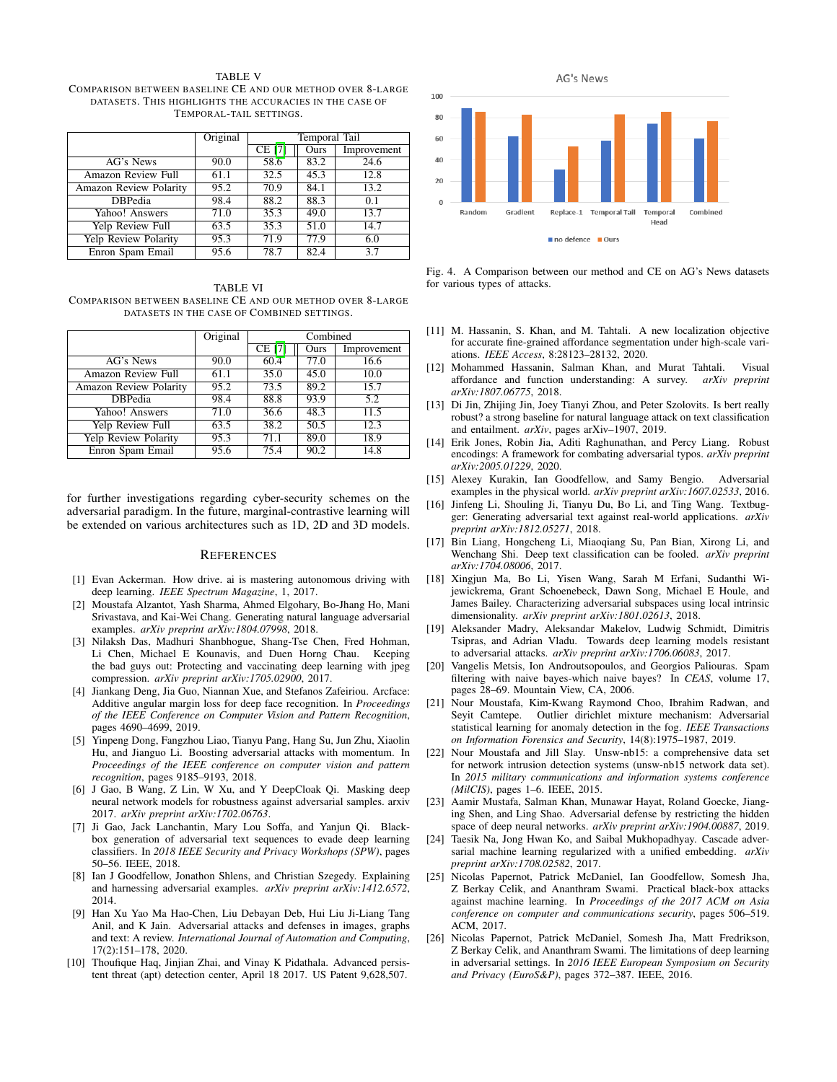<span id="page-5-26"></span>TABLE V COMPARISON BETWEEN BASELINE CE AND OUR METHOD OVER 8-LARGE DATASETS. THIS HIGHLIGHTS THE ACCURACIES IN THE CASE OF TEMPORAL-TAIL SETTINGS.

|                        | Original | Temporal Tail |      |             |
|------------------------|----------|---------------|------|-------------|
|                        |          | <b>CE [7]</b> | Ours | Improvement |
| AG's News              | 90.0     | 58.6          | 83.2 | 24.6        |
| Amazon Review Full     | 61.1     | 32.5          | 45.3 | 12.8        |
| Amazon Review Polarity | 95.2     | 70.9          | 84.1 | 13.2        |
| <b>DBPedia</b>         | 98.4     | 88.2          | 88.3 | 0.1         |
| Yahoo! Answers         | 71.0     | 35.3          | 49.0 | 13.7        |
| Yelp Review Full       | 63.5     | 35.3          | 51.0 | 14.7        |
| Yelp Review Polarity   | 95.3     | 71.9          | 77.9 | 6.0         |
| Enron Spam Email       | 95.6     | 78.7          | 82.4 | 3.7         |

<span id="page-5-27"></span>TABLE VI COMPARISON BETWEEN BASELINE CE AND OUR METHOD OVER 8-LARGE DATASETS IN THE CASE OF COMBINED SETTINGS.

|                               | Original | Combined |      |             |
|-------------------------------|----------|----------|------|-------------|
|                               |          | $CE$ [7] | Ours | Improvement |
| AG's News                     | 90.0     | 60.4     | 77.0 | 16.6        |
| Amazon Review Full            | 61.1     | 35.0     | 45.0 | 10.0        |
| <b>Amazon Review Polarity</b> | 95.2     | 73.5     | 89.2 | 15.7        |
| <b>DBPedia</b>                | 98.4     | 88.8     | 93.9 | 5.2         |
| Yahoo! Answers                | 71.0     | 36.6     | 48.3 | 11.5        |
| Yelp Review Full              | 63.5     | 38.2     | 50.5 | 12.3        |
| <b>Yelp Review Polarity</b>   | 95.3     | 71.1     | 89.0 | 18.9        |
| Enron Spam Email              | 95.6     | 75.4     | 90.2 | 14.8        |

for further investigations regarding cyber-security schemes on the adversarial paradigm. In the future, marginal-contrastive learning will be extended on various architectures such as 1D, 2D and 3D models.

#### **REFERENCES**

- <span id="page-5-3"></span>[1] Evan Ackerman. How drive. ai is mastering autonomous driving with deep learning. *IEEE Spectrum Magazine*, 1, 2017.
- <span id="page-5-16"></span>[2] Moustafa Alzantot, Yash Sharma, Ahmed Elgohary, Bo-Jhang Ho, Mani Srivastava, and Kai-Wei Chang. Generating natural language adversarial examples. *arXiv preprint arXiv:1804.07998*, 2018.
- <span id="page-5-22"></span>[3] Nilaksh Das, Madhuri Shanbhogue, Shang-Tse Chen, Fred Hohman, Li Chen, Michael E Kounavis, and Duen Horng Chau. Keeping the bad guys out: Protecting and vaccinating deep learning with jpeg compression. *arXiv preprint arXiv:1705.02900*, 2017.
- <span id="page-5-10"></span>[4] Jiankang Deng, Jia Guo, Niannan Xue, and Stefanos Zafeiriou. Arcface: Additive angular margin loss for deep face recognition. In *Proceedings of the IEEE Conference on Computer Vision and Pattern Recognition*, pages 4690–4699, 2019.
- <span id="page-5-14"></span>[5] Yinpeng Dong, Fangzhou Liao, Tianyu Pang, Hang Su, Jun Zhu, Xiaolin Hu, and Jianguo Li. Boosting adversarial attacks with momentum. In *Proceedings of the IEEE conference on computer vision and pattern recognition*, pages 9185–9193, 2018.
- <span id="page-5-5"></span>[6] J Gao, B Wang, Z Lin, W Xu, and Y DeepCloak Qi. Masking deep neural network models for robustness against adversarial samples. arxiv 2017. *arXiv preprint arXiv:1702.06763*.
- <span id="page-5-18"></span>[7] Ji Gao, Jack Lanchantin, Mary Lou Soffa, and Yanjun Qi. Blackbox generation of adversarial text sequences to evade deep learning classifiers. In *2018 IEEE Security and Privacy Workshops (SPW)*, pages 50–56. IEEE, 2018.
- <span id="page-5-12"></span>[8] Ian J Goodfellow, Jonathon Shlens, and Christian Szegedy. Explaining and harnessing adversarial examples. *arXiv preprint arXiv:1412.6572*, 2014.
- <span id="page-5-20"></span>[9] Han Xu Yao Ma Hao-Chen, Liu Debayan Deb, Hui Liu Ji-Liang Tang Anil, and K Jain. Adversarial attacks and defenses in images, graphs and text: A review. *International Journal of Automation and Computing*, 17(2):151–178, 2020.
- <span id="page-5-11"></span>[10] Thoufique Haq, Jinjian Zhai, and Vinay K Pidathala. Advanced persistent threat (apt) detection center, April 18 2017. US Patent 9,628,507.



<span id="page-5-28"></span>Fig. 4. A Comparison between our method and CE on AG's News datasets for various types of attacks.

- <span id="page-5-1"></span>[11] M. Hassanin, S. Khan, and M. Tahtali. A new localization objective for accurate fine-grained affordance segmentation under high-scale variations. *IEEE Access*, 8:28123–28132, 2020.
- <span id="page-5-2"></span>[12] Mohammed Hassanin, Salman Khan, and Murat Tahtali. Visual affordance and function understanding: A survey. *arXiv preprint arXiv:1807.06775*, 2018.
- <span id="page-5-17"></span>[13] Di Jin, Zhijing Jin, Joey Tianyi Zhou, and Peter Szolovits. Is bert really robust? a strong baseline for natural language attack on text classification and entailment. *arXiv*, pages arXiv–1907, 2019.
- <span id="page-5-8"></span>[14] Erik Jones, Robin Jia, Aditi Raghunathan, and Percy Liang. Robust encodings: A framework for combating adversarial typos. *arXiv preprint arXiv:2005.01229*, 2020.
- <span id="page-5-13"></span>[15] Alexey Kurakin, Ian Goodfellow, and Samy Bengio. Adversarial examples in the physical world. *arXiv preprint arXiv:1607.02533*, 2016.
- <span id="page-5-9"></span>[16] Jinfeng Li, Shouling Ji, Tianyu Du, Bo Li, and Ting Wang. Textbugger: Generating adversarial text against real-world applications. *arXiv preprint arXiv:1812.05271*, 2018.
- <span id="page-5-19"></span>[17] Bin Liang, Hongcheng Li, Miaoqiang Su, Pan Bian, Xirong Li, and Wenchang Shi. Deep text classification can be fooled. *arXiv preprint arXiv:1704.08006*, 2017.
- <span id="page-5-4"></span>[18] Xingjun Ma, Bo Li, Yisen Wang, Sarah M Erfani, Sudanthi Wijewickrema, Grant Schoenebeck, Dawn Song, Michael E Houle, and James Bailey. Characterizing adversarial subspaces using local intrinsic dimensionality. *arXiv preprint arXiv:1801.02613*, 2018.
- <span id="page-5-15"></span>[19] Aleksander Madry, Aleksandar Makelov, Ludwig Schmidt, Dimitris Tsipras, and Adrian Vladu. Towards deep learning models resistant to adversarial attacks. *arXiv preprint arXiv:1706.06083*, 2017.
- <span id="page-5-25"></span>[20] Vangelis Metsis, Ion Androutsopoulos, and Georgios Paliouras. Spam filtering with naive bayes-which naive bayes? In *CEAS*, volume 17, pages 28–69. Mountain View, CA, 2006.
- <span id="page-5-0"></span>[21] Nour Moustafa, Kim-Kwang Raymond Choo, Ibrahim Radwan, and Seyit Camtepe. Outlier dirichlet mixture mechanism: Adversarial statistical learning for anomaly detection in the fog. *IEEE Transactions on Information Forensics and Security*, 14(8):1975–1987, 2019.
- <span id="page-5-24"></span>[22] Nour Moustafa and Jill Slay. Unsw-nb15: a comprehensive data set for network intrusion detection systems (unsw-nb15 network data set). In *2015 military communications and information systems conference (MilCIS)*, pages 1–6. IEEE, 2015.
- <span id="page-5-6"></span>[23] Aamir Mustafa, Salman Khan, Munawar Hayat, Roland Goecke, Jianging Shen, and Ling Shao. Adversarial defense by restricting the hidden space of deep neural networks. *arXiv preprint arXiv:1904.00887*, 2019.
- <span id="page-5-21"></span>[24] Taesik Na, Jong Hwan Ko, and Saibal Mukhopadhyay. Cascade adversarial machine learning regularized with a unified embedding. *arXiv preprint arXiv:1708.02582*, 2017.
- <span id="page-5-23"></span>[25] Nicolas Papernot, Patrick McDaniel, Ian Goodfellow, Somesh Jha, Z Berkay Celik, and Ananthram Swami. Practical black-box attacks against machine learning. In *Proceedings of the 2017 ACM on Asia conference on computer and communications security*, pages 506–519. ACM, 2017.
- <span id="page-5-7"></span>[26] Nicolas Papernot, Patrick McDaniel, Somesh Jha, Matt Fredrikson, Z Berkay Celik, and Ananthram Swami. The limitations of deep learning in adversarial settings. In *2016 IEEE European Symposium on Security and Privacy (EuroS&P)*, pages 372–387. IEEE, 2016.